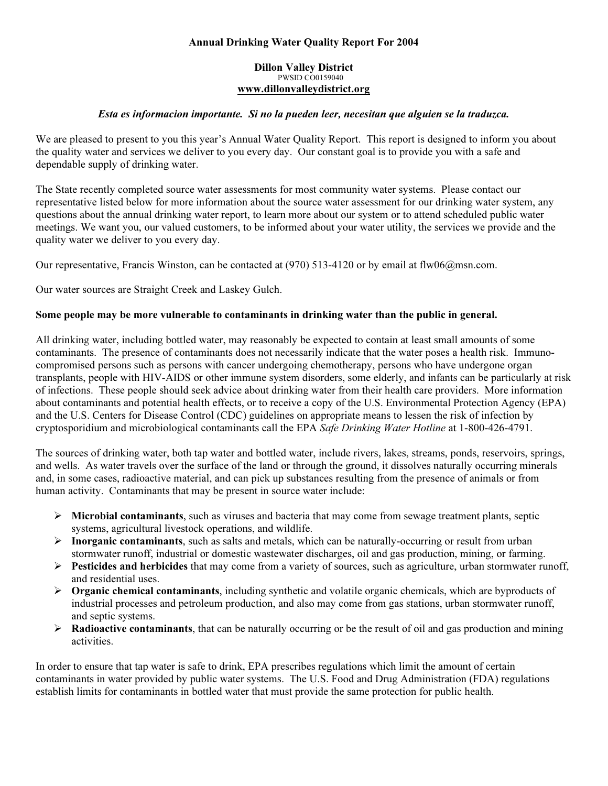## Annual Drinking Water Quality Report For 2004

#### Dillon Valley District PWSID CO0159040 *<sup>U</sup>*www.dillonvalleydistrict.org

## Esta es informacion importante. Si no la pueden leer, necesitan que alguien se la traduzca.

We are pleased to present to you this year's Annual Water Quality Report. This report is designed to inform you about the quality water and services we deliver to you every day. Our constant goal is to provide you with a safe and dependable supply of drinking water.

The State recently completed source water assessments for most community water systems. Please contact our representative listed below for more information about the source water assessment for our drinking water system, any questions about the annual drinking water report, to learn more about our system or to attend scheduled public water meetings. We want you, our valued customers, to be informed about your water utility, the services we provide and the quality water we deliver to you every day.

Our representative, Francis Winston, can be contacted at (970) 513-4120 or by email at flw06@msn.com.

Our water sources are Straight Creek and Laskey Gulch.

## Some people may be more vulnerable to contaminants in drinking water than the public in general.

All drinking water, including bottled water, may reasonably be expected to contain at least small amounts of some contaminants. The presence of contaminants does not necessarily indicate that the water poses a health risk. Immunocompromised persons such as persons with cancer undergoing chemotherapy, persons who have undergone organ transplants, people with HIV-AIDS or other immune system disorders, some elderly, and infants can be particularly at risk of infections. These people should seek advice about drinking water from their health care providers. More information about contaminants and potential health effects, or to receive a copy of the U.S. Environmental Protection Agency (EPA) and the U.S. Centers for Disease Control (CDC) guidelines on appropriate means to lessen the risk of infection by cryptosporidium and microbiological contaminants call the EPA Safe Drinking Water Hotline at 1-800-426-4791.

The sources of drinking water, both tap water and bottled water, include rivers, lakes, streams, ponds, reservoirs, springs, and wells. As water travels over the surface of the land or through the ground, it dissolves naturally occurring minerals and, in some cases, radioactive material, and can pick up substances resulting from the presence of animals or from human activity. Contaminants that may be present in source water include:

- $\triangleright$  Microbial contaminants, such as viruses and bacteria that may come from sewage treatment plants, septic systems, agricultural livestock operations, and wildlife.
- $\triangleright$  Inorganic contaminants, such as salts and metals, which can be naturally-occurring or result from urban stormwater runoff, industrial or domestic wastewater discharges, oil and gas production, mining, or farming.
- $\triangleright$  Pesticides and herbicides that may come from a variety of sources, such as agriculture, urban stormwater runoff, and residential uses.
- $\triangleright$  Organic chemical contaminants, including synthetic and volatile organic chemicals, which are byproducts of industrial processes and petroleum production, and also may come from gas stations, urban stormwater runoff, and septic systems.
- $\triangleright$  **Radioactive contaminants**, that can be naturally occurring or be the result of oil and gas production and mining activities.

In order to ensure that tap water is safe to drink, EPA prescribes regulations which limit the amount of certain contaminants in water provided by public water systems. The U.S. Food and Drug Administration (FDA) regulations establish limits for contaminants in bottled water that must provide the same protection for public health.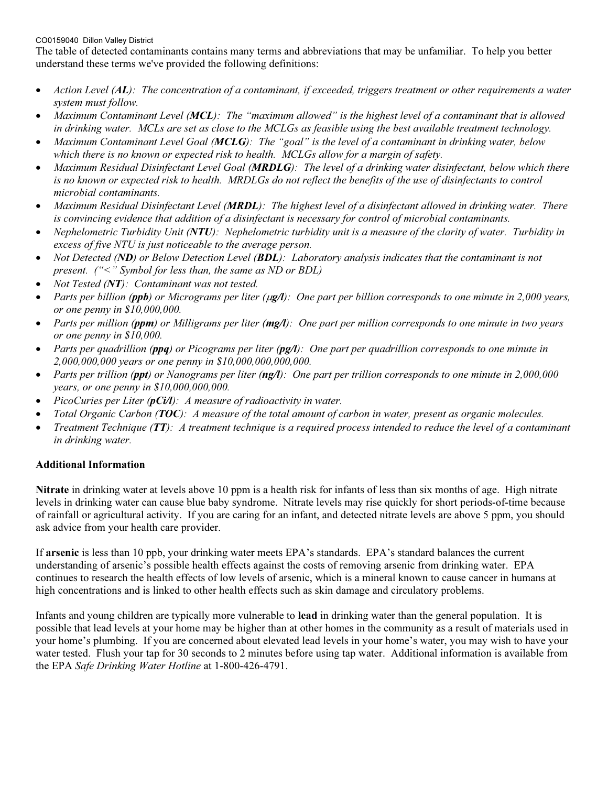### CO0159040 Dillon Valley District

The table of detected contaminants contains many terms and abbreviations that may be unfamiliar. To help you better understand these terms we've provided the following definitions:

- •Action Level (AL): The concentration of a contaminant, if exceeded, triggers treatment or other requirements a water system must follow.
- •Maximum Contaminant Level (MCL): The "maximum allowed" is the highest level of a contaminant that is allowed in drinking water. MCLs are set as close to the MCLGs as feasible using the best available treatment technology.
- •Maximum Contaminant Level Goal (MCLG): The "goal" is the level of a contaminant in drinking water, below which there is no known or expected risk to health. MCLGs allow for a margin of safety.
- •Maximum Residual Disinfectant Level Goal (MRDLG): The level of a drinking water disinfectant, below which there is no known or expected risk to health. MRDLGs do not reflect the benefits of the use of disinfectants to control microbial contaminants.
- •Maximum Residual Disinfectant Level (MRDL): The highest level of a disinfectant allowed in drinking water. There is convincing evidence that addition of a disinfectant is necessary for control of microbial contaminants.
- • Nephelometric Turbidity Unit (NTU): Nephelometric turbidity unit is a measure of the clarity of water. Turbidity in excess of five NTU is just noticeable to the average person.
- •Not Detected (ND) or Below Detection Level (BDL): Laboratory analysis indicates that the contaminant is not present. ("<" Symbol for less than, the same as ND or BDL)
- •Not Tested (NT): Contaminant was not tested.
- •Parts per billion (**ppb**) or Micrograms per liter (**µg/l**): One part per billion corresponds to one minute in 2,000 years, or one penny in \$10,000,000.
- •Parts per million (ppm) or Milligrams per liter  $(mg/l)$ : One part per million corresponds to one minute in two years or one penny in \$10,000.
- •Parts per quadrillion (ppq) or Picograms per liter (pg/l): One part per quadrillion corresponds to one minute in 2,000,000,000 years or one penny in \$10,000,000,000,000.
- •Parts per trillion (ppt) or Nanograms per liter (ngA): One part per trillion corresponds to one minute in 2,000,000 years, or one penny in \$10,000,000,000.
- •PicoCuries per Liter ( $p$ Ci/l): A measure of radioactivity in water.
- •Total Organic Carbon (TOC): A measure of the total amount of carbon in water, present as organic molecules.
- •Treatment Technique ( $TT$ ): A treatment technique is a required process intended to reduce the level of a contaminant in drinking water.

## Additional Information

Nitrate in drinking water at levels above 10 ppm is a health risk for infants of less than six months of age. High nitrate levels in drinking water can cause blue baby syndrome. Nitrate levels may rise quickly for short periods-of-time because of rainfall or agricultural activity. If you are caring for an infant, and detected nitrate levels are above 5 ppm, you should ask advice from your health care provider.

If arsenic is less than 10 ppb, your drinking water meets EPA's standards. EPA's standard balances the current understanding of arsenic's possible health effects against the costs of removing arsenic from drinking water. EPA continues to research the health effects of low levels of arsenic, which is a mineral known to cause cancer in humans at high concentrations and is linked to other health effects such as skin damage and circulatory problems.

Infants and young children are typically more vulnerable to lead in drinking water than the general population. It is possible that lead levels at your home may be higher than at other homes in the community as a result of materials used in your home's plumbing. If you are concerned about elevated lead levels in your home's water, you may wish to have your water tested. Flush your tap for 30 seconds to 2 minutes before using tap water. Additional information is available from the EPA Safe Drinking Water Hotline at 1-800-426-4791.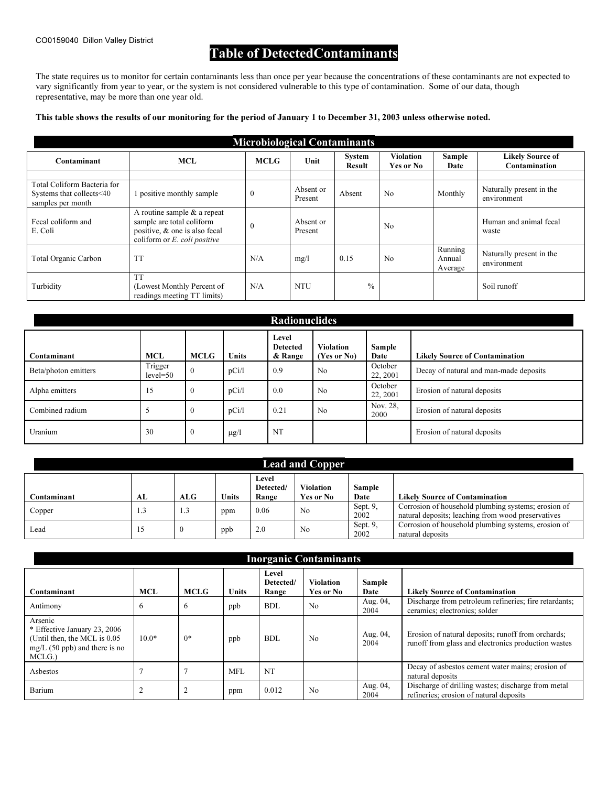# Table of DetectedContaminants

The state requires us to monitor for certain contaminants less than once per year because the concentrations of these contaminants are not expected to vary significantly from year to year, or the system is not considered vulnerable to this type of contamination. Some of our data, though representative, may be more than one year old.

#### This table shows the results of our monitoring for the period of January 1 to December 31, 2003 unless otherwise noted.

|                                                                              | <b>Microbiological Contaminants</b>                                                                                          |              |                      |                                |                                      |                              |                                          |  |  |  |  |  |  |
|------------------------------------------------------------------------------|------------------------------------------------------------------------------------------------------------------------------|--------------|----------------------|--------------------------------|--------------------------------------|------------------------------|------------------------------------------|--|--|--|--|--|--|
| Contaminant                                                                  | <b>MCL</b>                                                                                                                   | <b>MCLG</b>  | Unit                 | <b>System</b><br><b>Result</b> | <b>Violation</b><br><b>Yes or No</b> | Sample<br>Date               | <b>Likely Source of</b><br>Contamination |  |  |  |  |  |  |
|                                                                              |                                                                                                                              |              |                      |                                |                                      |                              |                                          |  |  |  |  |  |  |
| Total Coliform Bacteria for<br>Systems that collects<40<br>samples per month | l positive monthly sample                                                                                                    | $\mathbf{0}$ | Absent or<br>Present | Absent                         | N <sub>0</sub>                       | Monthly                      | Naturally present in the<br>environment  |  |  |  |  |  |  |
| Fecal coliform and<br>E. Coli                                                | A routine sample $\&$ a repeat<br>sample are total coliform<br>positive, & one is also fecal<br>coliform or E. coli positive | $\mathbf{0}$ | Absent or<br>Present |                                | No                                   |                              | Human and animal fecal<br>waste          |  |  |  |  |  |  |
| Total Organic Carbon                                                         | <b>TT</b>                                                                                                                    | N/A          | mg/l                 | 0.15                           | No                                   | Running<br>Annual<br>Average | Naturally present in the<br>environment  |  |  |  |  |  |  |
| Turbidity                                                                    | <b>TT</b><br>(Lowest Monthly Percent of<br>readings meeting TT limits)                                                       | N/A          | <b>NTU</b>           | $\frac{0}{0}$                  |                                      |                              | Soil runoff                              |  |  |  |  |  |  |

| <b>Radionuclides</b> |                       |                |              |                                     |                                 |                     |                                        |  |  |  |  |
|----------------------|-----------------------|----------------|--------------|-------------------------------------|---------------------------------|---------------------|----------------------------------------|--|--|--|--|
| Contaminant          | <b>MCL</b>            | MCLG           | <b>Units</b> | Level<br><b>Detected</b><br>& Range | <b>Violation</b><br>(Yes or No) | Sample<br>Date      | <b>Likely Source of Contamination</b>  |  |  |  |  |
| Beta/photon emitters | Trigger<br>$level=50$ | $\theta$       | pCi/1        | 0.9                                 | N <sub>0</sub>                  | October<br>22, 2001 | Decay of natural and man-made deposits |  |  |  |  |
| Alpha emitters       | 15                    | $\bf{0}$       | pCi/1        | 0.0                                 | No                              | October<br>22, 2001 | Erosion of natural deposits            |  |  |  |  |
| Combined radium      |                       | $\Omega$       | pCi/l        | 0.21                                | No                              | Nov. 28,<br>2000    | Erosion of natural deposits            |  |  |  |  |
| Uranium              | 30                    | $\overline{0}$ | $\mu$ g/l    | NT                                  |                                 |                     | Erosion of natural deposits            |  |  |  |  |

| <b>Lead and Copper</b> |     |            |       |                             |                               |                     |                                                                                                           |  |  |  |  |
|------------------------|-----|------------|-------|-----------------------------|-------------------------------|---------------------|-----------------------------------------------------------------------------------------------------------|--|--|--|--|
| Contaminant            | AL  | <b>ALG</b> | Units | Level<br>Detected/<br>Range | <b>Violation</b><br>Yes or No | Sample<br>Date      | <b>Likely Source of Contamination</b>                                                                     |  |  |  |  |
| Copper                 | 1.3 | 1.3        | ppm   | 0.06                        | N <sub>0</sub>                | Sept. 9.<br>2002    | Corrosion of household plumbing systems; erosion of<br>natural deposits; leaching from wood preservatives |  |  |  |  |
| Lead                   |     |            | ppb   | 2.0                         | No                            | Sept. $9$ ,<br>2002 | Corrosion of household plumbing systems, erosion of<br>natural deposits                                   |  |  |  |  |

| <b>Inorganic Contaminants</b>                                                                                        |            |             |              |                             |                               |                  |                                                                                                           |  |  |  |  |
|----------------------------------------------------------------------------------------------------------------------|------------|-------------|--------------|-----------------------------|-------------------------------|------------------|-----------------------------------------------------------------------------------------------------------|--|--|--|--|
| Contaminant                                                                                                          | <b>MCL</b> | <b>MCLG</b> | <b>Units</b> | Level<br>Detected/<br>Range | <b>Violation</b><br>Yes or No | Sample<br>Date   | <b>Likely Source of Contamination</b>                                                                     |  |  |  |  |
| Antimony                                                                                                             | 6          | 6           | ppb          | <b>BDL</b>                  | No                            | Aug. 04,<br>2004 | Discharge from petroleum refineries; fire retardants;<br>ceramics; electronics; solder                    |  |  |  |  |
| Arsenic<br>* Effective January 23, 2006<br>(Until then, the MCL is 0.05)<br>$mg/L$ (50 ppb) and there is no<br>MCLG. | $10.0*$    | $0*$        | ppb          | <b>BDL</b>                  | N <sub>0</sub>                | Aug. 04,<br>2004 | Erosion of natural deposits; runoff from orchards;<br>runoff from glass and electronics production wastes |  |  |  |  |
| Asbestos                                                                                                             |            | 7           | <b>MFL</b>   | NT                          |                               |                  | Decay of asbestos cement water mains; erosion of<br>natural deposits                                      |  |  |  |  |
| Barium                                                                                                               |            |             | ppm          | 0.012                       | N <sub>0</sub>                | Aug. 04,<br>2004 | Discharge of drilling wastes; discharge from metal<br>refineries; erosion of natural deposits             |  |  |  |  |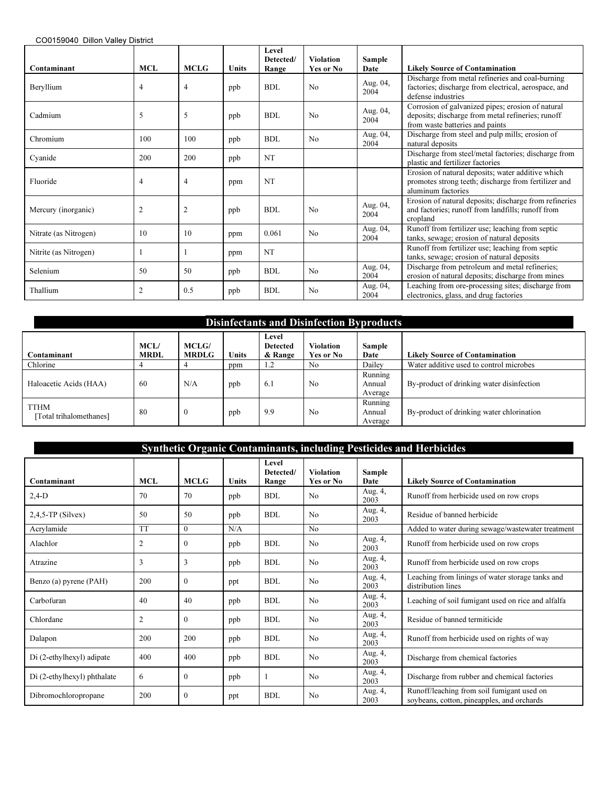| Contaminant           | MCL            | <b>MCLG</b>    | <b>Units</b> | Level<br>Detected/<br>Range | <b>Violation</b><br>Yes or No | Sample<br>Date   | <b>Likely Source of Contamination</b>                                                                                                     |
|-----------------------|----------------|----------------|--------------|-----------------------------|-------------------------------|------------------|-------------------------------------------------------------------------------------------------------------------------------------------|
| Beryllium             | 4              | $\overline{4}$ | ppb          | <b>BDL</b>                  | N <sub>0</sub>                | Aug. 04,<br>2004 | Discharge from metal refineries and coal-burning<br>factories; discharge from electrical, aerospace, and<br>defense industries            |
| Cadmium               | 5              | 5              | ppb          | BDL                         | N <sub>0</sub>                | Aug. 04,<br>2004 | Corrosion of galvanized pipes; erosion of natural<br>deposits; discharge from metal refineries; runoff<br>from waste batteries and paints |
| Chromium              | 100            | 100            | ppb          | <b>BDL</b>                  | N <sub>0</sub>                | Aug. 04,<br>2004 | Discharge from steel and pulp mills; erosion of<br>natural deposits                                                                       |
| Cyanide               | 200            | 200            | ppb          | NT                          |                               |                  | Discharge from steel/metal factories; discharge from<br>plastic and fertilizer factories                                                  |
| Fluoride              | 4              | $\overline{4}$ | ppm          | NT                          |                               |                  | Erosion of natural deposits; water additive which<br>promotes strong teeth; discharge from fertilizer and<br>aluminum factories           |
| Mercury (inorganic)   | $\overline{2}$ | $\overline{2}$ | ppb          | BDL                         | No                            | Aug. 04,<br>2004 | Erosion of natural deposits; discharge from refineries<br>and factories; runoff from landfills; runoff from<br>cropland                   |
| Nitrate (as Nitrogen) | 10             | 10             | ppm          | 0.061                       | N <sub>0</sub>                | Aug. 04,<br>2004 | Runoff from fertilizer use; leaching from septic<br>tanks, sewage; erosion of natural deposits                                            |
| Nitrite (as Nitrogen) | 1              |                | ppm          | <b>NT</b>                   |                               |                  | Runoff from fertilizer use; leaching from septic<br>tanks, sewage; erosion of natural deposits                                            |
| Selenium              | 50             | 50             | ppb          | <b>BDL</b>                  | N <sub>0</sub>                | Aug. 04,<br>2004 | Discharge from petroleum and metal refineries;<br>erosion of natural deposits; discharge from mines                                       |
| Thallium              | $\overline{2}$ | 0.5            | ppb          | <b>BDL</b>                  | N <sub>0</sub>                | Aug. 04,<br>2004 | Leaching from ore-processing sites; discharge from<br>electronics, glass, and drug factories                                              |

| <b>Disinfectants and Disinfection Byproducts</b> |                     |                              |       |                                     |                               |                                     |                                           |  |  |  |  |
|--------------------------------------------------|---------------------|------------------------------|-------|-------------------------------------|-------------------------------|-------------------------------------|-------------------------------------------|--|--|--|--|
| Contaminant                                      | MCL/<br><b>MRDL</b> | <b>MCLG/</b><br><b>MRDLG</b> | Units | Level<br><b>Detected</b><br>& Range | <b>Violation</b><br>Yes or No | Sample<br>Date                      | <b>Likely Source of Contamination</b>     |  |  |  |  |
| Chlorine                                         |                     |                              | ppm   | 1.2                                 | No                            | Dailey                              | Water additive used to control microbes   |  |  |  |  |
| Haloacetic Acids (HAA)                           | 60                  | N/A                          | ppb   | 6.1                                 | N <sub>0</sub>                | Running<br>Annual<br>Average        | By-product of drinking water disinfection |  |  |  |  |
| <b>TTHM</b><br>Total trihalomethanes]            | 80                  | $\overline{0}$               | ppb   | 9.9                                 | N <sub>0</sub>                | <b>Running</b><br>Annual<br>Average | By-product of drinking water chlorination |  |  |  |  |

| Synthetic Organic Contaminants, including Pesticides and Herbicides |                |              |       |                             |                               |                 |                                                                                          |  |  |  |  |
|---------------------------------------------------------------------|----------------|--------------|-------|-----------------------------|-------------------------------|-----------------|------------------------------------------------------------------------------------------|--|--|--|--|
| Contaminant                                                         | <b>MCL</b>     | <b>MCLG</b>  | Units | Level<br>Detected/<br>Range | <b>Violation</b><br>Yes or No | Sample<br>Date  | <b>Likely Source of Contamination</b>                                                    |  |  |  |  |
| $2,4-D$                                                             | 70             | 70           | ppb   | <b>BDL</b>                  | N <sub>0</sub>                | Aug. 4,<br>2003 | Runoff from herbicide used on row crops                                                  |  |  |  |  |
| $2,4,5$ -TP (Silvex)                                                | 50             | 50           | ppb   | <b>BDL</b>                  | No                            | Aug. 4,<br>2003 | Residue of banned herbicide                                                              |  |  |  |  |
| Acrylamide                                                          | <b>TT</b>      | $\theta$     | N/A   |                             | No                            |                 | Added to water during sewage/wastewater treatment                                        |  |  |  |  |
| Alachlor                                                            | $\overline{2}$ | $\theta$     | ppb   | <b>BDL</b>                  | N <sub>0</sub>                | Aug. 4,<br>2003 | Runoff from herbicide used on row crops                                                  |  |  |  |  |
| Atrazine                                                            | 3              | 3            | ppb   | <b>BDL</b>                  | No                            | Aug. 4,<br>2003 | Runoff from herbicide used on row crops                                                  |  |  |  |  |
| Benzo (a) pyrene (PAH)                                              | 200            | $\mathbf{0}$ | ppt   | <b>BDL</b>                  | N <sub>0</sub>                | Aug. 4,<br>2003 | Leaching from linings of water storage tanks and<br>distribution lines                   |  |  |  |  |
| Carbofuran                                                          | 40             | 40           | ppb   | BDL                         | No                            | Aug. 4,<br>2003 | Leaching of soil fumigant used on rice and alfalfa                                       |  |  |  |  |
| Chlordane                                                           | 2              | $\theta$     | ppb   | <b>BDL</b>                  | No                            | Aug. 4,<br>2003 | Residue of banned termiticide                                                            |  |  |  |  |
| Dalapon                                                             | 200            | 200          | ppb   | BDL                         | N <sub>0</sub>                | Aug. 4,<br>2003 | Runoff from herbicide used on rights of way                                              |  |  |  |  |
| Di (2-ethylhexyl) adipate                                           | 400            | 400          | ppb   | <b>BDL</b>                  | No                            | Aug. 4,<br>2003 | Discharge from chemical factories                                                        |  |  |  |  |
| Di (2-ethylhexyl) phthalate                                         | 6              | $\mathbf{0}$ | ppb   |                             | N <sub>0</sub>                | Aug. 4,<br>2003 | Discharge from rubber and chemical factories                                             |  |  |  |  |
| Dibromochloropropane                                                | 200            | $\theta$     | ppt   | BDL                         | N <sub>0</sub>                | Aug. 4,<br>2003 | Runoff/leaching from soil fumigant used on<br>soybeans, cotton, pineapples, and orchards |  |  |  |  |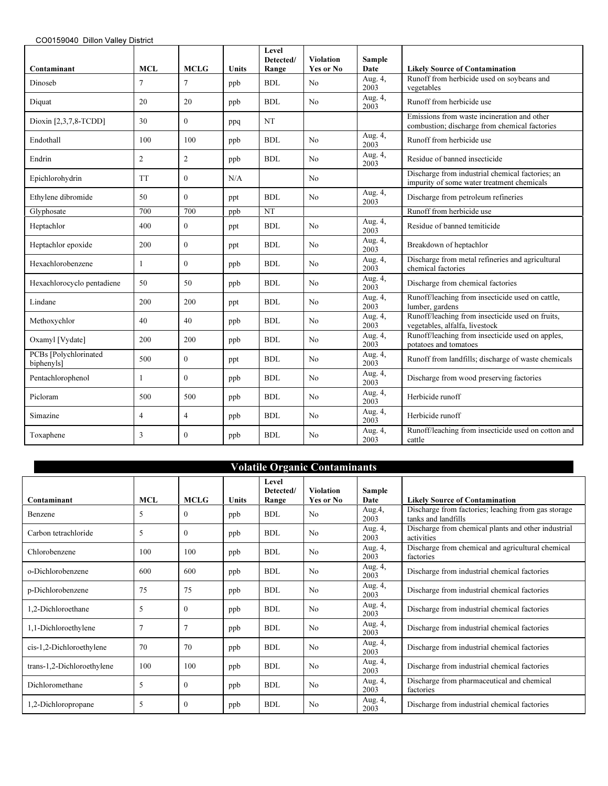|                                     |                |                |       | Level<br>Detected/ | <b>Violation</b> | Sample                       |                                                                                                |
|-------------------------------------|----------------|----------------|-------|--------------------|------------------|------------------------------|------------------------------------------------------------------------------------------------|
| Contaminant                         | <b>MCL</b>     | <b>MCLG</b>    | Units | Range              | Yes or No        | Date                         | <b>Likely Source of Contamination</b>                                                          |
| Dinoseb                             | 7              | 7              | ppb   | <b>BDL</b>         | N <sub>0</sub>   | Aug. 4,<br>2003              | Runoff from herbicide used on soybeans and<br>vegetables                                       |
| Diquat                              | 20             | 20             | ppb   | <b>BDL</b>         | N <sub>0</sub>   | Aug. 4,<br>2003              | Runoff from herbicide use                                                                      |
| Dioxin [2,3,7,8-TCDD]               | 30             | $\Omega$       | ppq   | <b>NT</b>          |                  |                              | Emissions from waste incineration and other<br>combustion; discharge from chemical factories   |
| Endothall                           | 100            | 100            | ppb   | <b>BDL</b>         | N <sub>0</sub>   | Aug. 4,<br>2003              | Runoff from herbicide use                                                                      |
| Endrin                              | $\overline{2}$ | $\overline{c}$ | ppb   | <b>BDL</b>         | N <sub>0</sub>   | Aug. 4,<br>2003              | Residue of banned insecticide                                                                  |
| Epichlorohydrin                     | <b>TT</b>      | $\theta$       | N/A   |                    | N <sub>0</sub>   |                              | Discharge from industrial chemical factories; an<br>impurity of some water treatment chemicals |
| Ethylene dibromide                  | 50             | $\theta$       | ppt   | <b>BDL</b>         | No               | Aug. 4,<br>2003              | Discharge from petroleum refineries                                                            |
| Glyphosate                          | 700            | 700            | ppb   | <b>NT</b>          |                  |                              | Runoff from herbicide use                                                                      |
| Heptachlor                          | 400            | $\mathbf{0}$   | ppt   | <b>BDL</b>         | N <sub>0</sub>   | Aug. 4,<br>2003              | Residue of banned temiticide                                                                   |
| Heptachlor epoxide                  | 200            | $\mathbf{0}$   | ppt   | <b>BDL</b>         | No               | Aug. 4,<br>2003              | Breakdown of heptachlor                                                                        |
| Hexachlorobenzene                   | 1              | $\mathbf{0}$   | ppb   | <b>BDL</b>         | N <sub>0</sub>   | Aug. 4,<br>2003              | Discharge from metal refineries and agricultural<br>chemical factories                         |
| Hexachlorocyclo pentadiene          | 50             | 50             | ppb   | <b>BDL</b>         | No               | Aug. 4,<br>2003              | Discharge from chemical factories                                                              |
| Lindane                             | 200            | 200            | ppt   | <b>BDL</b>         | N <sub>0</sub>   | Aug. $\overline{4,}$<br>2003 | Runoff/leaching from insecticide used on cattle,<br>lumber, gardens                            |
| Methoxychlor                        | 40             | 40             | ppb   | <b>BDL</b>         | N <sub>0</sub>   | Aug. $\overline{4,}$<br>2003 | Runoff/leaching from insecticide used on fruits,<br>vegetables, alfalfa, livestock             |
| Oxamyl [Vydate]                     | 200            | 200            | ppb   | <b>BDL</b>         | N <sub>0</sub>   | Aug. 4,<br>2003              | Runoff/leaching from insecticide used on apples,<br>potatoes and tomatoes                      |
| PCBs [Polychlorinated<br>biphenyls] | 500            | $\Omega$       | ppt   | <b>BDL</b>         | No               | Aug. 4,<br>2003              | Runoff from landfills; discharge of waste chemicals                                            |
| Pentachlorophenol                   | 1              | $\theta$       | ppb   | <b>BDL</b>         | N <sub>0</sub>   | Aug. 4,<br>2003              | Discharge from wood preserving factories                                                       |
| Picloram                            | 500            | 500            | ppb   | <b>BDL</b>         | No               | Aug. 4,<br>2003              | Herbicide runoff                                                                               |
| Simazine                            | 4              | $\overline{4}$ | ppb   | <b>BDL</b>         | N <sub>0</sub>   | Aug. 4,<br>2003              | Herbicide runoff                                                                               |
| Toxaphene                           | 3              | $\theta$       | ppb   | <b>BDL</b>         | N <sub>0</sub>   | Aug. 4,<br>2003              | Runoff/leaching from insecticide used on cotton and<br>cattle                                  |

| <b>Volatile Organic Contaminants</b> |                |                |       |                             |                               |                 |                                                                            |  |  |  |  |
|--------------------------------------|----------------|----------------|-------|-----------------------------|-------------------------------|-----------------|----------------------------------------------------------------------------|--|--|--|--|
| Contaminant                          | <b>MCL</b>     | <b>MCLG</b>    | Units | Level<br>Detected/<br>Range | <b>Violation</b><br>Yes or No | Sample<br>Date  | <b>Likely Source of Contamination</b>                                      |  |  |  |  |
| Benzene                              | 5              | $\mathbf{0}$   | ppb   | <b>BDL</b>                  | N <sub>0</sub>                | Aug.4,<br>2003  | Discharge from factories; leaching from gas storage<br>tanks and landfills |  |  |  |  |
| Carbon tetrachloride                 | 5              | $\theta$       | ppb   | BDL                         | No                            | Aug. 4,<br>2003 | Discharge from chemical plants and other industrial<br>activities          |  |  |  |  |
| Chlorobenzene                        | 100            | 100            | ppb   | <b>BDL</b>                  | N <sub>0</sub>                | Aug. 4,<br>2003 | Discharge from chemical and agricultural chemical<br>factories             |  |  |  |  |
| o-Dichlorobenzene                    | 600            | 600            | ppb   | <b>BDL</b>                  | N <sub>0</sub>                | Aug. 4,<br>2003 | Discharge from industrial chemical factories                               |  |  |  |  |
| p-Dichlorobenzene                    | 75             | 75             | ppb   | <b>BDL</b>                  | N <sub>0</sub>                | Aug. 4,<br>2003 | Discharge from industrial chemical factories                               |  |  |  |  |
| 1,2-Dichloroethane                   | 5              | $\mathbf{0}$   | ppb   | <b>BDL</b>                  | No                            | Aug. 4,<br>2003 | Discharge from industrial chemical factories                               |  |  |  |  |
| 1,1-Dichloroethylene                 | $\overline{7}$ | $\overline{7}$ | ppb   | <b>BDL</b>                  | N <sub>0</sub>                | Aug. 4,<br>2003 | Discharge from industrial chemical factories                               |  |  |  |  |
| cis-1,2-Dichloroethylene             | 70             | 70             | ppb   | <b>BDL</b>                  | N <sub>0</sub>                | Aug. 4,<br>2003 | Discharge from industrial chemical factories                               |  |  |  |  |
| trans-1,2-Dichloroethylene           | 100            | 100            | ppb   | <b>BDL</b>                  | N <sub>0</sub>                | Aug. 4,<br>2003 | Discharge from industrial chemical factories                               |  |  |  |  |
| Dichloromethane                      | 5              | $\theta$       | ppb   | <b>BDL</b>                  | N <sub>0</sub>                | Aug. 4,<br>2003 | Discharge from pharmaceutical and chemical<br>factories                    |  |  |  |  |
| ,2-Dichloropropane                   | 5              | $\mathbf{0}$   | ppb   | <b>BDL</b>                  | N <sub>0</sub>                | Aug. 4,<br>2003 | Discharge from industrial chemical factories                               |  |  |  |  |